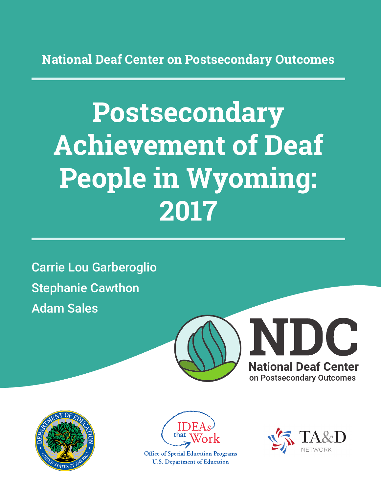**National Deaf Center on Postsecondary Outcomes**

# **Postsecondary Achievement of Deaf People in Wyoming: 2017**

Carrie Lou Garberoglio Stephanie Cawthon Adam Sales







**Office of Special Education Programs U.S. Department of Education** 

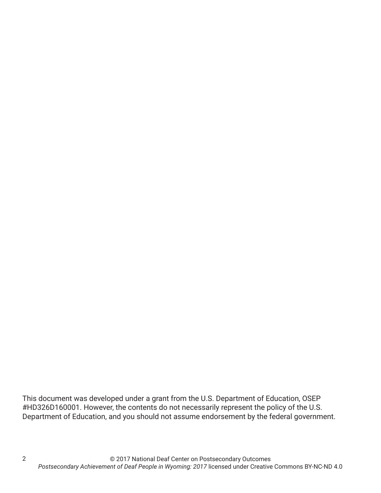This document was developed under a grant from the U.S. Department of Education, OSEP #HD326D160001. However, the contents do not necessarily represent the policy of the U.S. Department of Education, and you should not assume endorsement by the federal government.

2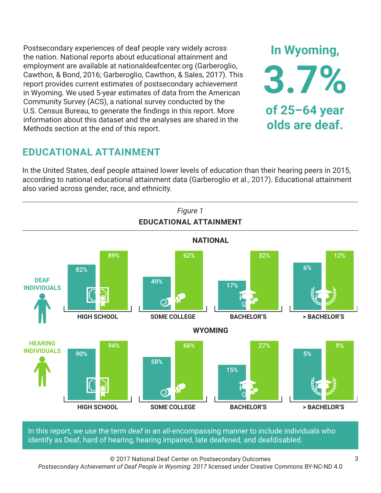Postsecondary experiences of deaf people vary widely across the nation. National reports about educational attainment and employment are available at nationaldeafcenter.org (Garberoglio, Cawthon, & Bond, 2016; Garberoglio, Cawthon, & Sales, 2017). This report provides current estimates of postsecondary achievement in Wyoming. We used 5-year estimates of data from the American Community Survey (ACS), a national survey conducted by the U.S. Census Bureau, to generate the findings in this report. More information about this dataset and the analyses are shared in the Methods section at the end of this report.

## **EDUCATIONAL ATTAINMENT**

In the United States, deaf people attained lower levels of education than their hearing peers in 2015, according to national educational attainment data (Garberoglio et al., 2017). Educational attainment also varied across gender, race, and ethnicity.



In this report, we use the term *deaf* in an all-encompassing manner to include individuals who identify as Deaf, hard of hearing, hearing impaired, late deafened, and deafdisabled.

© 2017 National Deaf Center on Postsecondary Outcomes

*Postsecondary Achievement of Deaf People in Wyoming: 2017* licensed under Creative Commons BY-NC-ND 4.0

**In Wyoming,**

**3.7%**

**of 25–64 year**

**olds are deaf.**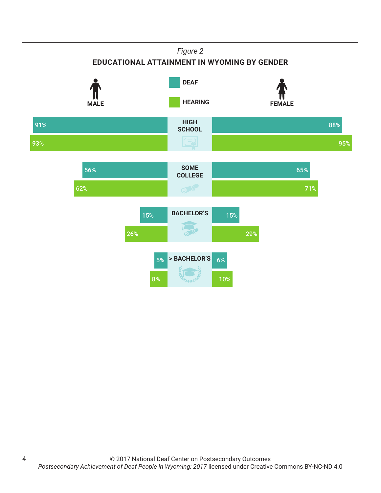### *Figure 2*

### **EDUCATIONAL ATTAINMENT IN WYOMING BY GENDER**



4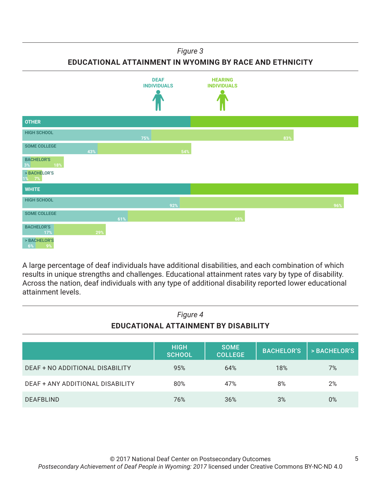#### *Figure 3*

**EDUCATIONAL ATTAINMENT IN WYOMING BY RACE AND ETHNICITY**



A large percentage of deaf individuals have additional disabilities, and each combination of which results in unique strengths and challenges. Educational attainment rates vary by type of disability. Across the nation, deaf individuals with any type of additional disability reported lower educational attainment levels.

| Figure 4<br>EDUCATIONAL ATTAINMENT BY DISABILITY |                              |                               |                   |              |
|--------------------------------------------------|------------------------------|-------------------------------|-------------------|--------------|
|                                                  | <b>HIGH</b><br><b>SCHOOL</b> | <b>SOME</b><br><b>COLLEGE</b> | <b>BACHELOR'S</b> | > BACHELOR'S |
| DEAF + NO ADDITIONAL DISABILITY                  | 95%                          | 64%                           | 18%               | 7%           |
| DEAF + ANY ADDITIONAL DISABILITY                 | 80%                          | 47%                           | 8%                | 2%           |
| <b>DEAFBLIND</b>                                 | 76%                          | 36%                           | 3%                | $0\%$        |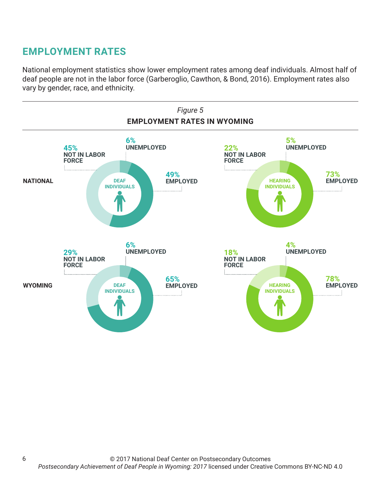## **EMPLOYMENT RATES**

6

National employment statistics show lower employment rates among deaf individuals. Almost half of deaf people are not in the labor force (Garberoglio, Cawthon, & Bond, 2016). Employment rates also vary by gender, race, and ethnicity.

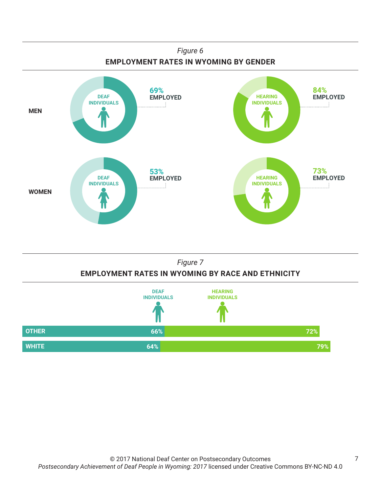

## *Figure 7* **EMPLOYMENT RATES IN WYOMING BY RACE AND ETHNICITY**

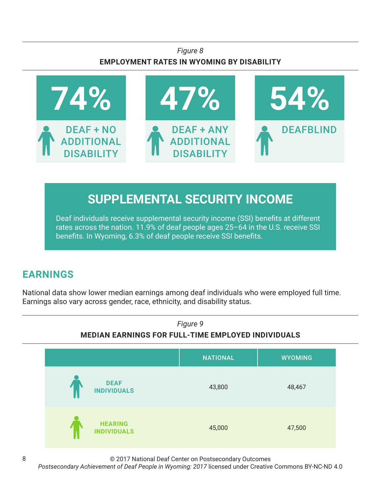## *Figure 8* **EMPLOYMENT RATES IN WYOMING BY DISABILITY**



# **SUPPLEMENTAL SECURITY INCOME**

Deaf individuals receive supplemental security income (SSI) benefits at different rates across the nation. 11.9% of deaf people ages 25–64 in the U.S. receive SSI benefits. In Wyoming, 6.3% of deaf people receive SSI benefits.

# **EARNINGS**

National data show lower median earnings among deaf individuals who were employed full time. Earnings also vary across gender, race, ethnicity, and disability status.



© 2017 National Deaf Center on Postsecondary Outcomes

*Postsecondary Achievement of Deaf People in Wyoming: 2017* licensed under Creative Commons BY-NC-ND 4.0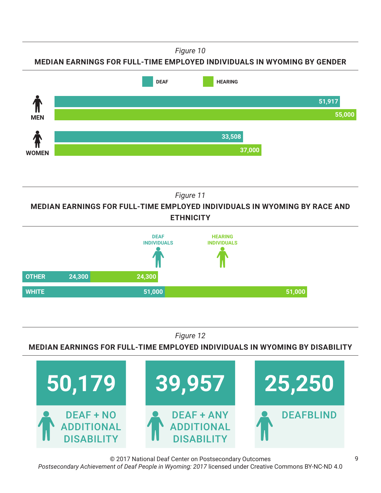*Figure 10*

**MEDIAN EARNINGS FOR FULL-TIME EMPLOYED INDIVIDUALS IN WYOMING BY GENDER**



*Figure 11*

**MEDIAN EARNINGS FOR FULL-TIME EMPLOYED INDIVIDUALS IN WYOMING BY RACE AND ETHNICITY**



*Figure 12*

**MEDIAN EARNINGS FOR FULL-TIME EMPLOYED INDIVIDUALS IN WYOMING BY DISABILITY**



© 2017 National Deaf Center on Postsecondary Outcomes *Postsecondary Achievement of Deaf People in Wyoming: 2017* licensed under Creative Commons BY-NC-ND 4.0